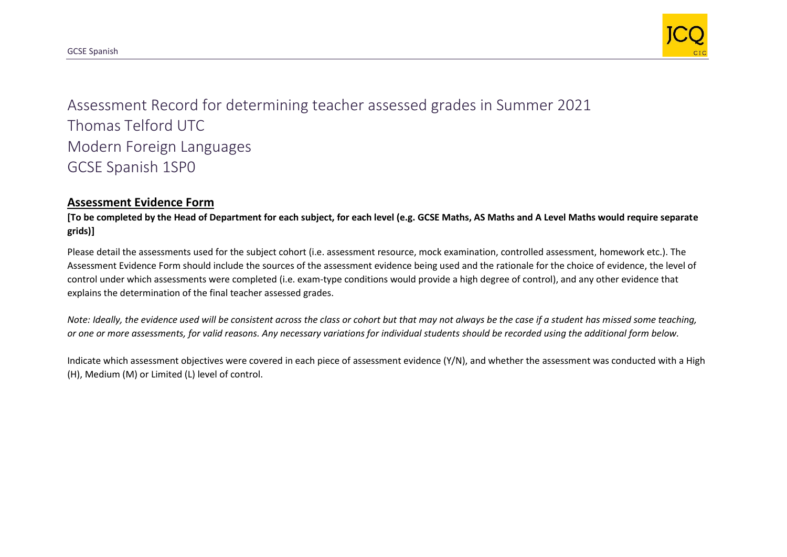

Assessment Record for determining teacher assessed grades in Summer 2021 Thomas Telford UTC Modern Foreign Languages GCSE Spanish 1SP0

## **Assessment Evidence Form**

**[To be completed by the Head of Department for each subject, for each level (e.g. GCSE Maths, AS Maths and A Level Maths would require separate grids)]**

Please detail the assessments used for the subject cohort (i.e. assessment resource, mock examination, controlled assessment, homework etc.). The Assessment Evidence Form should include the sources of the assessment evidence being used and the rationale for the choice of evidence, the level of control under which assessments were completed (i.e. exam-type conditions would provide a high degree of control), and any other evidence that explains the determination of the final teacher assessed grades.

*Note: Ideally, the evidence used will be consistent across the class or cohort but that may not always be the case if a student has missed some teaching, or one or more assessments, for valid reasons. Any necessary variations for individual students should be recorded using the additional form below.* 

Indicate which assessment objectives were covered in each piece of assessment evidence (Y/N), and whether the assessment was conducted with a High (H), Medium (M) or Limited (L) level of control.